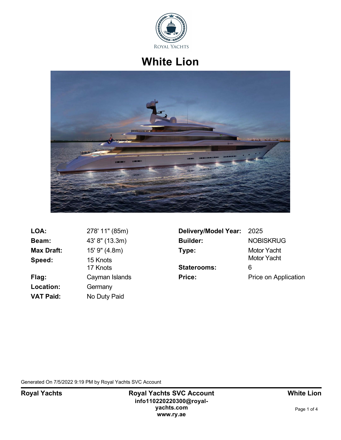

## **White Lion**



| 278' 11" (85m) |  |
|----------------|--|
| 43' 8" (13.3m) |  |
| 15' 9" (4.8m)  |  |
| 15 Knots       |  |
| 17 Knots       |  |
| Cayman Islands |  |
| Germany        |  |
| No Duty Paid   |  |
|                |  |

| Delivery/Model Year: 2025 |                      |
|---------------------------|----------------------|
| <b>Builder:</b>           | <b>NOBISKRUG</b>     |
| Type:                     | Motor Yacht          |
|                           | Motor Yacht          |
| <b>Staterooms:</b>        | 6                    |
| Price:                    | Price on Application |
|                           |                      |

Generated On 7/5/2022 9:19 PM by Royal Yachts SVC Account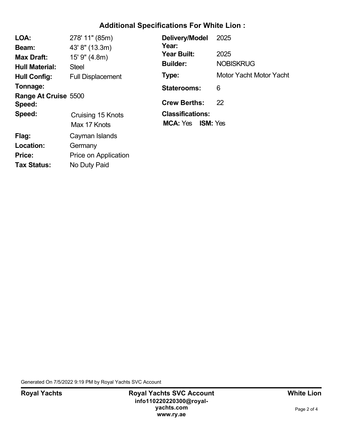## **Additional Specifications For White Lion :**

| LOA:                                  | 278' 11" (85m)                    | <b>Delivery/Model</b>                                         | 2025                           |
|---------------------------------------|-----------------------------------|---------------------------------------------------------------|--------------------------------|
| Beam:                                 | 43' 8" (13.3m)                    | Year:                                                         |                                |
| <b>Max Draft:</b>                     | 15' 9" (4.8m)                     | <b>Year Built:</b>                                            | 2025                           |
| <b>Hull Material:</b>                 | <b>Steel</b>                      | <b>Builder:</b>                                               | <b>NOBISKRUG</b>               |
| <b>Hull Config:</b>                   | <b>Full Displacement</b>          | Type:                                                         | <b>Motor Yacht Motor Yacht</b> |
| Tonnage:                              |                                   | <b>Staterooms:</b>                                            | 6                              |
| <b>Range At Cruise 5500</b><br>Speed: |                                   | <b>Crew Berths:</b>                                           | 22                             |
| Speed:                                | Cruising 15 Knots<br>Max 17 Knots | <b>Classifications:</b><br><b>ISM:</b> Yes<br><b>MCA:</b> Yes |                                |
| Flag:                                 | Cayman Islands                    |                                                               |                                |
| Location:                             | Germany                           |                                                               |                                |
| Price:                                | Price on Application              |                                                               |                                |
| <b>Tax Status:</b>                    | No Duty Paid                      |                                                               |                                |

Generated On 7/5/2022 9:19 PM by Royal Yachts SVC Account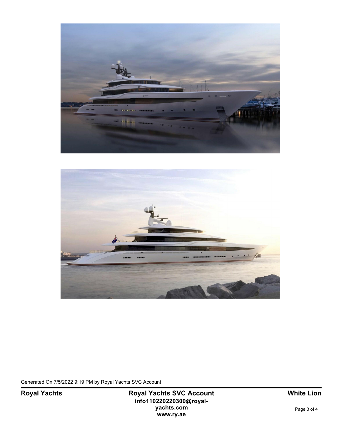



Generated On 7/5/2022 9:19 PM by Royal Yachts SVC Account